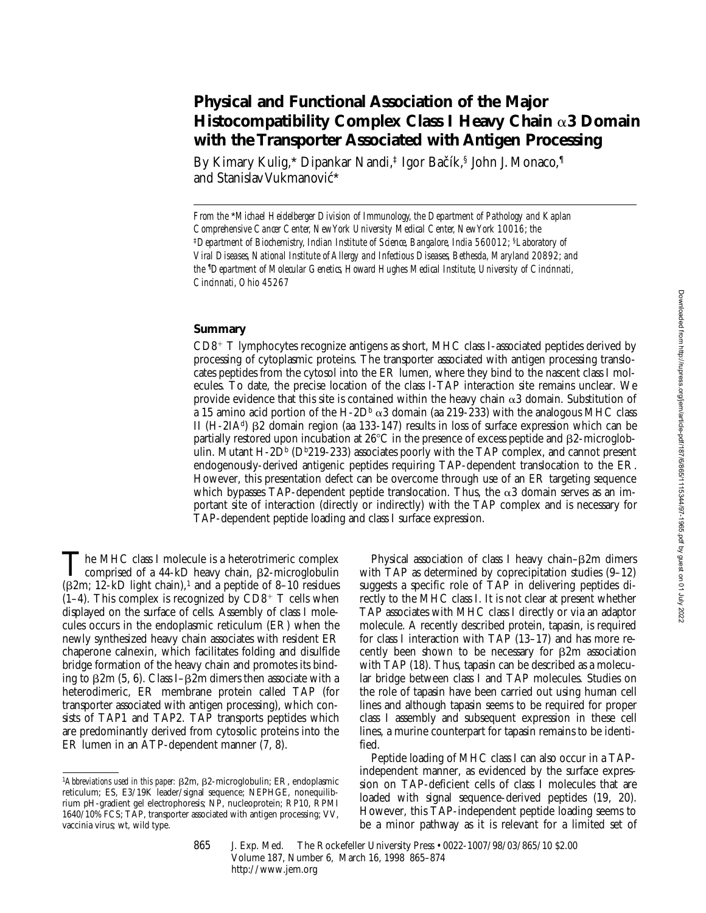# **Physical and Functional Association of the Major Histocompatibility Complex Class I Heavy Chain** a**3 Domain with the Transporter Associated with Antigen Processing**

By Kimary Kulig,\* Dipankar Nandi,‡ Igor Bačík,§ John J. Monaco,¶ and Stanislav Vukmanović\*

## **Summary**

 $CD8^+$  T lymphocytes recognize antigens as short, MHC class I-associated peptides derived by processing of cytoplasmic proteins. The transporter associated with antigen processing translocates peptides from the cytosol into the ER lumen, where they bind to the nascent class I molecules. To date, the precise location of the class I-TAP interaction site remains unclear. We provide evidence that this site is contained within the heavy chain  $\alpha$ 3 domain. Substitution of a 15 amino acid portion of the H-2D<sup>b</sup>  $\alpha$ 3 domain (aa 219-233) with the analogous MHC class II  $(H-2IA^d)$  B2 domain region (aa 133-147) results in loss of surface expression which can be partially restored upon incubation at  $26^{\circ}$ C in the presence of excess peptide and  $\beta$ 2-microglobulin. Mutant H-2D<sup>b</sup> (D<sup>b</sup>219-233) associates poorly with the TAP complex, and cannot present endogenously-derived antigenic peptides requiring TAP-dependent translocation to the ER. However, this presentation defect can be overcome through use of an ER targeting sequence which bypasses TAP-dependent peptide translocation. Thus, the  $\alpha$ 3 domain serves as an important site of interaction (directly or indirectly) with the TAP complex and is necessary for TAP-dependent peptide loading and class I surface expression.

The MHC class I molecule is a heterotrimeric complex comprised of a  $44-kD$  heavy chain,  $\beta$ 2-microglobulin ( $\beta$ 2m; 12-kD light chain),<sup>1</sup> and a peptide of 8–10 residues  $(1-4)$ . This complex is recognized by  $CD8^+$  T cells when displayed on the surface of cells. Assembly of class I molecules occurs in the endoplasmic reticulum (ER) when the newly synthesized heavy chain associates with resident ER chaperone calnexin, which facilitates folding and disulfide bridge formation of the heavy chain and promotes its binding to  $\beta$ 2m (5, 6). Class I– $\beta$ 2m dimers then associate with a heterodimeric, ER membrane protein called TAP (for transporter associated with antigen processing), which consists of TAP1 and TAP2. TAP transports peptides which are predominantly derived from cytosolic proteins into the ER lumen in an ATP-dependent manner (7, 8).

Physical association of class I heavy chain– $\beta$ 2m dimers with TAP as determined by coprecipitation studies (9–12) suggests a specific role of TAP in delivering peptides directly to the MHC class I. It is not clear at present whether TAP associates with MHC class I directly or via an adaptor molecule. A recently described protein, tapasin, is required for class I interaction with TAP (13–17) and has more recently been shown to be necessary for  $\beta$ 2m association with TAP (18). Thus, tapasin can be described as a molecular bridge between class I and TAP molecules. Studies on the role of tapasin have been carried out using human cell lines and although tapasin seems to be required for proper class I assembly and subsequent expression in these cell lines, a murine counterpart for tapasin remains to be identified.

Peptide loading of MHC class I can also occur in a TAPindependent manner, as evidenced by the surface expression on TAP-deficient cells of class I molecules that are loaded with signal sequence-derived peptides (19, 20). However, this TAP-independent peptide loading seems to be a minor pathway as it is relevant for a limited set of

865 J. Exp. Med. © The Rockefeller University Press • 0022-1007/98/03/865/10 \$2.00 Volume 187, Number 6, March 16, 1998 865–874 http://www.jem.org

*From the* \**Michael Heidelberger Division of Immunology, the Department of Pathology and Kaplan Comprehensive Cancer Center, New York University Medical Center, New York 10016; the*  ‡*Department of Biochemistry, Indian Institute of Science, Bangalore, India 560012;* §*Laboratory of Viral Diseases, National Institute of Allergy and Infectious Diseases, Bethesda, Maryland 20892; and the* ¶ *Department of Molecular Genetics, Howard Hughes Medical Institute, University of Cincinnati, Cincinnati, Ohio 45267*

<sup>&</sup>lt;sup>1</sup>Abbreviations used in this paper:  $\beta$ 2m,  $\beta$ 2-microglobulin; ER, endoplasmic reticulum; ES, E3/19K leader/signal sequence; NEPHGE, nonequilibrium pH-gradient gel electrophoresis; NP, nucleoprotein; RP10, RPMI 1640/10% FCS; TAP, transporter associated with antigen processing; VV, vaccinia virus; wt, wild type.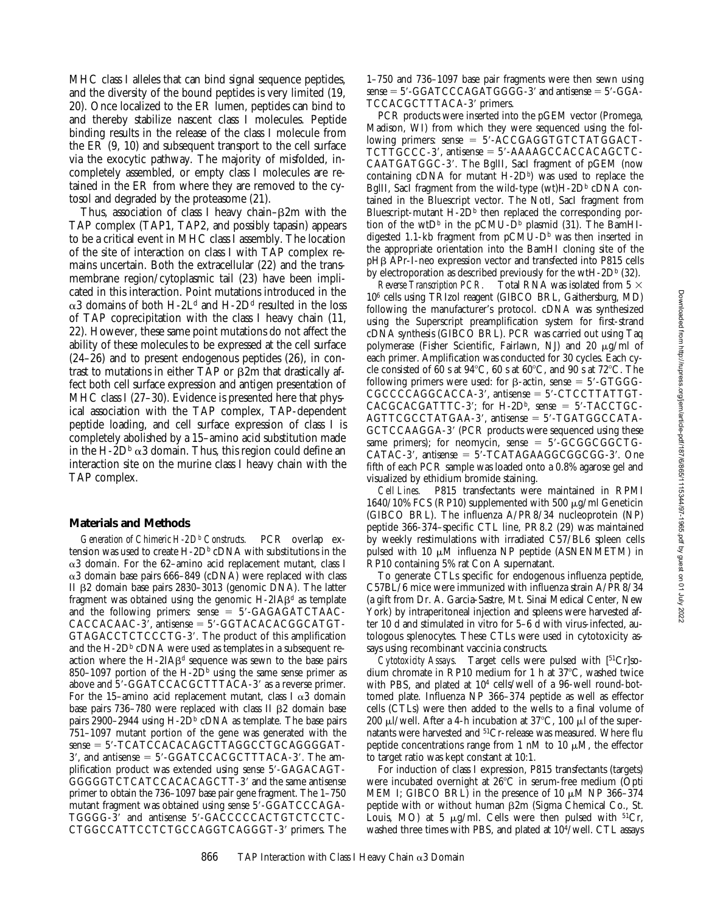MHC class I alleles that can bind signal sequence peptides, and the diversity of the bound peptides is very limited (19, 20). Once localized to the ER lumen, peptides can bind to and thereby stabilize nascent class I molecules. Peptide binding results in the release of the class I molecule from the ER (9, 10) and subsequent transport to the cell surface via the exocytic pathway. The majority of misfolded, incompletely assembled, or empty class I molecules are retained in the ER from where they are removed to the cytosol and degraded by the proteasome (21).

Thus, association of class I heavy chain– $\beta$ 2m with the TAP complex (TAP1, TAP2, and possibly tapasin) appears to be a critical event in MHC class I assembly. The location of the site of interaction on class I with TAP complex remains uncertain. Both the extracellular (22) and the transmembrane region/cytoplasmic tail (23) have been implicated in this interaction. Point mutations introduced in the  $\alpha$ 3 domains of both H-2L<sup>d</sup> and H-2D<sup>d</sup> resulted in the loss of TAP coprecipitation with the class I heavy chain (11, 22). However, these same point mutations do not affect the ability of these molecules to be expressed at the cell surface (24–26) and to present endogenous peptides (26), in contrast to mutations in either TAP or  $\beta$ 2m that drastically affect both cell surface expression and antigen presentation of MHC class I (27–30). Evidence is presented here that physical association with the TAP complex, TAP-dependent peptide loading, and cell surface expression of class I is completely abolished by a 15–amino acid substitution made in the H-2D<sup>b</sup>  $\alpha$ 3 domain. Thus, this region could define an interaction site on the murine class I heavy chain with the TAP complex.

#### **Materials and Methods**

*Generation of Chimeric H-2Db* PCR overlap extension was used to create H-2D<sup>b</sup> cDNA with substitutions in the  $\alpha$ 3 domain. For the 62-amino acid replacement mutant, class I  $\alpha$ 3 domain base pairs 666–849 (cDNA) were replaced with class II  $\beta$ 2 domain base pairs 2830–3013 (genomic DNA). The latter fragment was obtained using the genomic  $H$ -2IA $\beta$ <sup>d</sup> as template and the following primers:  $sense = 5' - GAGAGATCTAAC$ - $CACCACAAC-3'$ , antisense = 5'-GGTACACACGGCATGT-GTAGACCTCTCCCTG-3'. The product of this amplification and the  $H$ -2D<sup>b</sup> cDNA were used as templates in a subsequent reaction where the H-2IA $\beta$ <sup>d</sup> sequence was sewn to the base pairs 850–1097 portion of the H-2D<sup>b</sup> using the same sense primer as above and  $5'$ -GGATCCACGCTTTACA-3' as a reverse primer. For the 15–amino acid replacement mutant, class I  $\alpha$ 3 domain base pairs  $736-780$  were replaced with class II  $\beta$ 2 domain base pairs 2900–2944 using  $H$ -2 $D<sup>b</sup>$  cDNA as template. The base pairs 751–1097 mutant portion of the gene was generated with the  $sense = 5'$ -TCATCCACACAGCTTAGGCCTGCAGGGGAT- $3'$ , and antisense =  $5'$ -GGATCCACGCTTTACA-3'. The amplification product was extended using sense 5'-GAGACAGT-GGGGGTCTCATCCACACAGCTT-3' and the same antisense primer to obtain the 736–1097 base pair gene fragment. The 1–750 mutant fragment was obtained using sense 5'-GGATCCCAGA-TGGGG-3' and antisense 5'-GACCCCCACTGTCTCCTC-CTGGCCATTCCTCTGCCAGGTCAGGGT-3' primers. The

1–750 and 736–1097 base pair fragments were then sewn using  $sense = 5'$ -GGATCCCAGATGGGG-3' and antisense  $= 5'$ -GGA-TCCACGCTTTACA-3' primers.

PCR products were inserted into the pGEM vector (Promega, Madison, WI) from which they were sequenced using the following primers:  $sense = 5' - ACCGAGGTGTCTATGGACT TCTTGCC-3'$ , antisense =  $5'$ -AAAA $GCCACACAGCTC-$ CAATGATGGC-3'. The BglII, SacI fragment of pGEM (now containing cDNA for mutant  $H$ -2Db) was used to replace the BglII, SacI fragment from the wild-type (wt) $H$ -2D<sup>b</sup> cDNA contained in the Bluescript vector. The NotI, SacI fragment from Bluescript-mutant  $H - 2D<sup>b</sup>$  then replaced the corresponding portion of the wtD<sup>b</sup> in the pCMU-D<sup>b</sup> plasmid (31). The BamHIdigested 1.1-kb fragment from  $pCMU-D<sup>b</sup>$  was then inserted in the appropriate orientation into the BamHI cloning site of the pH<sub>B</sub> APr-I-neo expression vector and transfected into P815 cells by electroporation as described previously for the wtH-2D $\rm{^{b}}$  (32).

*Reverse Transcription PCR.* Total RNA was isolated from  $5 \times$ 106 cells using TRIzol reagent (GIBCO BRL, Gaithersburg, MD) following the manufacturer's protocol. cDNA was synthesized using the Superscript preamplification system for first-strand cDNA synthesis (GIBCO BRL). PCR was carried out using Taq polymerase (Fisher Scientific, Fairlawn, NJ) and 20  $\mu$ g/ml of each primer. Amplification was conducted for 30 cycles. Each cycle consisted of 60 s at  $94^{\circ}$ C, 60 s at 60 $^{\circ}$ C, and 90 s at 72 $^{\circ}$ C. The following primers were used: for  $\beta$ -actin, sense = 5'-GTGGG- $CGCCCCAGGCACA-3'$ , antisense =  $5'$ -CTCCTTATTGT- $CACCACGATTTC-3'$ ; for H-2Db, sense = 5'-TACCTGC- $AGTTCGCCTATGAA-3'$ , antisense = 5'-TGATGGCCATA-GCTCCAAGGA-3' (PCR products were sequenced using these same primers); for neomycin, sense =  $5'-GCGGCGGCTG CATAC-3'$ , antisense =  $5'$ -TCATAGAAGGCGGCGG-3'. One fifth of each PCR sample was loaded onto a 0.8% agarose gel and visualized by ethidium bromide staining.<br>Cell Lines. P815 transfectants were

*Cell Lines.* P815 transfectants were maintained in RPMI 1640/10% FCS (RP10) supplemented with 500 μg/ml Geneticin (GIBCO BRL). The influenza A/PR8/34 nucleoprotein (NP) peptide 366-374–specific CTL line, PR8.2 (29) was maintained by weekly restimulations with irradiated C57/BL6 spleen cells pulsed with 10  $\mu$ M influenza NP peptide (ASNENMETM) in RP10 containing 5% rat Con A supernatant.

To generate CTLs specific for endogenous influenza peptide, C57BL/6 mice were immunized with influenza strain A/PR8/34 (a gift from Dr. A. Garcia-Sastre, Mt. Sinai Medical Center, New York) by intraperitoneal injection and spleens were harvested after 10 d and stimulated in vitro for 5–6 d with virus-infected, autologous splenocytes. These CTLs were used in cytotoxicity assays using recombinant vaccinia constructs.

*Cytotoxicity Assays.* Target cells were pulsed with [51Cr]sodium chromate in RP10 medium for 1 h at  $37^{\circ}$ C, washed twice with PBS, and plated at 104 cells/well of a 96-well round-bottomed plate. Influenza NP 366–374 peptide as well as effector cells (CTLs) were then added to the wells to a final volume of 200  $\mu$ I/well. After a 4-h incubation at 37°C, 100  $\mu$ l of the supernatants were harvested and 51Cr-release was measured. Where flu peptide concentrations range from 1 nM to 10  $\mu$ M, the effector to target ratio was kept constant at 10:1.

For induction of class I expression, P815 transfectants (targets) were incubated overnight at  $26^{\circ}$ C in serum-free medium (Opti MEM I; GIBCO BRL) in the presence of 10  $\mu$ M NP 366–374 peptide with or without human  $\beta$ 2m (Sigma Chemical Co., St. Louis, MO) at 5  $\mu$ g/ml. Cells were then pulsed with <sup>51</sup>Cr, washed three times with PBS, and plated at 104/well. CTL assays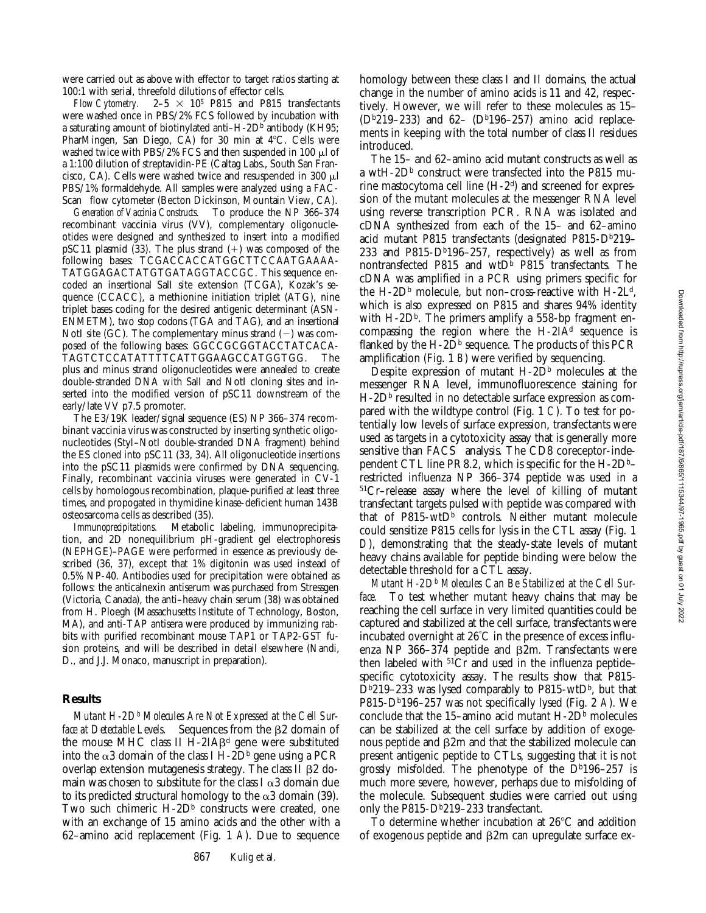were carried out as above with effector to target ratios starting at 100:1 with serial, threefold dilutions of effector cells.

*Flow Cytometry.*  $2-5 \times 10^5$  P815 and P815 transfectants were washed once in PBS/2% FCS followed by incubation with a saturating amount of biotinylated anti-H-2D $\overline{b}$  antibody (KH95; PharMingen, San Diego, CA) for 30 min at  $4^{\circ}$ C. Cells were washed twice with PBS/2% FCS and then suspended in 100  $\mu$ l of a 1:100 dilution of streptavidin-PE (Caltag Labs., South San Francisco, CA). Cells were washed twice and resuspended in 300  $\mu$ l PBS/1% formaldehyde. All samples were analyzed using a FAC-Scan<sup>®</sup> flow cytometer (Becton Dickinson, Mountain View, CA).

*Generation of Vaccinia Constructs.* To produce the NP 366–374 recombinant vaccinia virus (VV), complementary oligonucleotides were designed and synthesized to insert into a modified pSC11 plasmid (33). The plus strand  $(+)$  was composed of the following bases: TCGACCACCATGGCTTCCAATGAAAA-TATGGAGACTATGTGATAGGTACCGC. This sequence encoded an insertional SalI site extension (TCGA), Kozak's sequence (CCACC), a methionine initiation triplet (ATG), nine triplet bases coding for the desired antigenic determinant (ASN-ENMETM), two stop codons (TGA and TAG), and an insertional NotI site (GC). The complementary minus strand  $(-)$  was composed of the following bases: GGCCGCGGTACCTATCACA-TAGTCTCCATATTTTCATTGGAAGCCATGGTGG. The plus and minus strand oligonucleotides were annealed to create double-stranded DNA with SalI and NotI cloning sites and inserted into the modified version of pSC11 downstream of the early/late VV p7.5 promoter.

The E3/19K leader/signal sequence (ES) NP 366–374 recombinant vaccinia virus was constructed by inserting synthetic oligonucleotides (StyI–NotI double-stranded DNA fragment) behind the ES cloned into pSC11 (33, 34). All oligonucleotide insertions into the pSC11 plasmids were confirmed by DNA sequencing. Finally, recombinant vaccinia viruses were generated in CV-1 cells by homologous recombination, plaque-purified at least three times, and propogated in thymidine kinase-deficient human 143B osteosarcoma cells as described (35).

*Immunoprecipitations.* Metabolic labeling, immunoprecipitation, and 2D nonequilibrium pH-gradient gel electrophoresis (NEPHGE)–PAGE were performed in essence as previously described (36, 37), except that 1% digitonin was used instead of 0.5% NP-40. Antibodies used for precipitation were obtained as follows: the anticalnexin antiserum was purchased from Stressgen (Victoria, Canada), the anti–heavy chain serum (38) was obtained from H. Ploegh (Massachusetts Institute of Technology, Boston, MA), and anti-TAP antisera were produced by immunizing rabbits with purified recombinant mouse TAP1 or TAP2-GST fusion proteins, and will be described in detail elsewhere (Nandi, D., and J.J. Monaco, manuscript in preparation).

#### **Results**

*Mutant H-2Db Molecules Are Not Expressed at the Cell Surface at Detectable Levels.* Sequences from the  $\beta$ 2 domain of the mouse MHC class II H-2IAB<sup>d</sup> gene were substituted into the  $\alpha$ 3 domain of the class I H-2D<sup>b</sup> gene using a PCR overlap extension mutagenesis strategy. The class II b2 domain was chosen to substitute for the class I  $\alpha$ 3 domain due to its predicted structural homology to the  $\alpha$ 3 domain (39). Two such chimeric  $H-\mathrm{2D}^{\mathrm{b}}$  constructs were created, one with an exchange of 15 amino acids and the other with a 62–amino acid replacement (Fig. 1 *A*). Due to sequence

homology between these class I and II domains, the actual change in the number of amino acids is 11 and 42, respectively. However, we will refer to these molecules as 15– ( $D^{b}219-233$ ) and 62- ( $D^{b}196-257$ ) amino acid replacements in keeping with the total number of class II residues introduced.

The 15– and 62–amino acid mutant constructs as well as a wtH-2D<sup>b</sup> construct were transfected into the P815 murine mastocytoma cell line (H-2d) and screened for expression of the mutant molecules at the messenger RNA level using reverse transcription PCR. RNA was isolated and cDNA synthesized from each of the 15– and 62–amino acid mutant P815 transfectants (designated P815-Db219-233 and P815-D $b$ 196-257, respectively) as well as from nontransfected P815 and  $wtD^b$  P815 transfectants. The cDNA was amplified in a PCR using primers specific for the H-2D<sup>b</sup> molecule, but non–cross-reactive with H-2L<sup>d</sup>, which is also expressed on P815 and shares 94% identity with H-2D<sup>b</sup>. The primers amplify a 558-bp fragment encompassing the region where the  $H-2IA<sup>d</sup>$  sequence is flanked by the  $H$ -2D<sup>b</sup> sequence. The products of this PCR amplification (Fig. 1 *B*) were verified by sequencing.

Despite expression of mutant  $H$ -2D<sup>b</sup> molecules at the messenger RNA level, immunofluorescence staining for  $H$ -2D<sup>b</sup> resulted in no detectable surface expression as compared with the wildtype control (Fig. 1 *C*). To test for potentially low levels of surface expression, transfectants were used as targets in a cytotoxicity assay that is generally more sensitive than FACS<sup>®</sup> analysis. The CD8 coreceptor-independent CTL line PR8.2, which is specific for the  $H$ -2D<sup>b</sup>restricted influenza NP 366–374 peptide was used in a 51Cr–release assay where the level of killing of mutant transfectant targets pulsed with peptide was compared with that of  $P815-wtD<sup>b</sup>$  controls. Neither mutant molecule could sensitize P815 cells for lysis in the CTL assay (Fig. 1 *D*), demonstrating that the steady-state levels of mutant heavy chains available for peptide binding were below the detectable threshold for a CTL assay.

*Mutant H-2Db Molecules Can Be Stabilized at the Cell Surface.* To test whether mutant heavy chains that may be reaching the cell surface in very limited quantities could be captured and stabilized at the cell surface, transfectants were incubated overnight at 26°C in the presence of excess influenza NP 366-374 peptide and  $\beta$ 2m. Transfectants were then labeled with  ${}^{51}Cr$  and used in the influenza peptide– specific cytotoxicity assay. The results show that P815-  $D<sup>b</sup>219-233$  was lysed comparably to P815-wt $D<sup>b</sup>$ , but that P815-D<sup>b</sup>196-257 was not specifically lysed (Fig. 2 A). We conclude that the 15–amino acid mutant  $H$ -2D<sup>b</sup> molecules can be stabilized at the cell surface by addition of exogenous peptide and  $\beta$ 2m and that the stabilized molecule can present antigenic peptide to CTLs, suggesting that it is not grossly misfolded. The phenotype of the  $D^{b}196-257$  is much more severe, however, perhaps due to misfolding of the molecule. Subsequent studies were carried out using only the  $P815-D<sup>b</sup>219-233$  transfectant.

To determine whether incubation at  $26^{\circ}$ C and addition of exogenous peptide and  $\beta$ 2m can upregulate surface ex-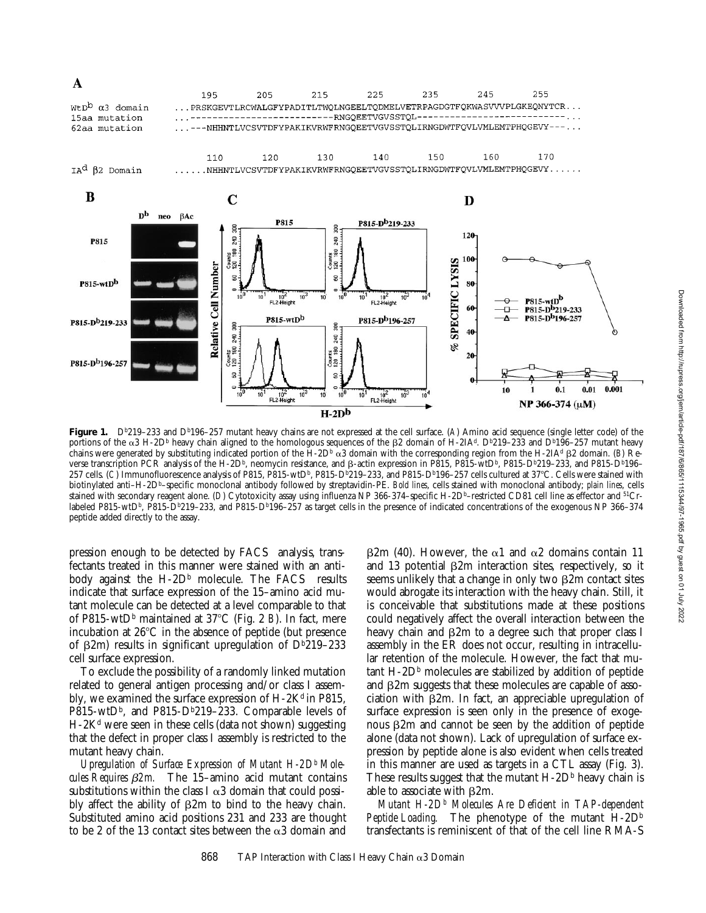

Figure 1. D<sup>b</sup>219-233 and D<sup>b</sup>196-257 mutant heavy chains are not expressed at the cell surface. (*A*) Amino acid sequence (single letter code) of the portions of the  $\alpha$ 3 H-2D<sup>b</sup> heavy chain aligned to the homologous sequences of the  $\beta$ 2 domain of H-2IA<sup>d</sup>. D<sup>b</sup>219–233 and D<sup>b</sup>196–257 mutant heavy chains were generated by substituting indicated portion of the  $H$ -2D<sup>b</sup>  $\alpha$ 3 domain with the corresponding region from the H-2IA<sup>d</sup> B2 domain. (*B*) Reverse transcription PCR analysis of the H-2Db, neomycin resistance, and  $\beta$ -actin expression in P815, P815-wtDb, P815-Db219–233, and P815-Db196– 257 cells. (C) Immunofluorescence analysis of P815, P815-wtD<sup>b</sup>, P815-D<sup>b</sup>219-233, and P815-D<sup>b</sup>196-257 cells cultured at 37°C. Cells were stained with biotinylated anti–H-2Db–specific monoclonal antibody followed by streptavidin-PE. *Bold lines*, cells stained with monoclonal antibody; *plain lines*, cells stained with secondary reagent alone. (*D*) Cytotoxicity assay using influenza NP 366-374–specific H-2D<sup>b</sup>–restricted CD81 cell line as effector and <sup>51</sup>Crlabeled P815-wtD<sup>b</sup>, P815-D<sup>b</sup>219–233, and P815-D<sup>b</sup>196–257 as target cells in the presence of indicated concentrations of the exogenous NP 366–374 peptide added directly to the assay.

pression enough to be detected by  $FACS^{\circledast}$  analysis, transfectants treated in this manner were stained with an antibody against the H-2D<sup>b</sup> molecule. The FACS<sup>®</sup> results indicate that surface expression of the 15–amino acid mutant molecule can be detected at a level comparable to that of P815-wtD<sup>b</sup> maintained at 37°C (Fig. 2 *B*). In fact, mere incubation at  $26^{\circ}$ C in the absence of peptide (but presence of  $\beta$ 2m) results in significant upregulation of Db219–233 cell surface expression.

To exclude the possibility of a randomly linked mutation related to general antigen processing and/or class I assembly, we examined the surface expression of  $H-2K<sup>d</sup>$  in P815,  $P815-wtD<sup>b</sup>$ , and  $P815-D<sup>b</sup>219-233$ . Comparable levels of  $H-2K<sup>d</sup>$  were seen in these cells (data not shown) suggesting that the defect in proper class I assembly is restricted to the mutant heavy chain.

Upregulation of Surface Expression of Mutant H-2D<sup>b</sup> Mole*cules Requires* b*2m.* The 15–amino acid mutant contains substitutions within the class I  $\alpha$ 3 domain that could possibly affect the ability of  $\beta$ 2m to bind to the heavy chain. Substituted amino acid positions 231 and 233 are thought to be 2 of the 13 contact sites between the  $\alpha$ 3 domain and

 $\beta$ 2m (40). However, the  $\alpha$ 1 and  $\alpha$ 2 domains contain 11 and 13 potential  $\beta$ 2m interaction sites, respectively, so it seems unlikely that a change in only two  $\beta$ 2m contact sites would abrogate its interaction with the heavy chain. Still, it is conceivable that substitutions made at these positions could negatively affect the overall interaction between the heavy chain and  $\beta$ 2m to a degree such that proper class I assembly in the ER does not occur, resulting in intracellular retention of the molecule. However, the fact that mu $tan t$  H-2D<sup>b</sup> molecules are stabilized by addition of peptide and  $\beta$ 2m suggests that these molecules are capable of association with  $\beta$ 2m. In fact, an appreciable upregulation of surface expression is seen only in the presence of exogenous  $\beta$ 2m and cannot be seen by the addition of peptide alone (data not shown). Lack of upregulation of surface expression by peptide alone is also evident when cells treated in this manner are used as targets in a CTL assay (Fig. 3). These results suggest that the mutant  $H$ -2D<sup>b</sup> heavy chain is able to associate with  $\beta$ 2m.

*Mutant H-2Db Molecules Are Deficient in TAP-dependent Peptide Loading.* The phenotype of the mutant H-2Db transfectants is reminiscent of that of the cell line RMA-S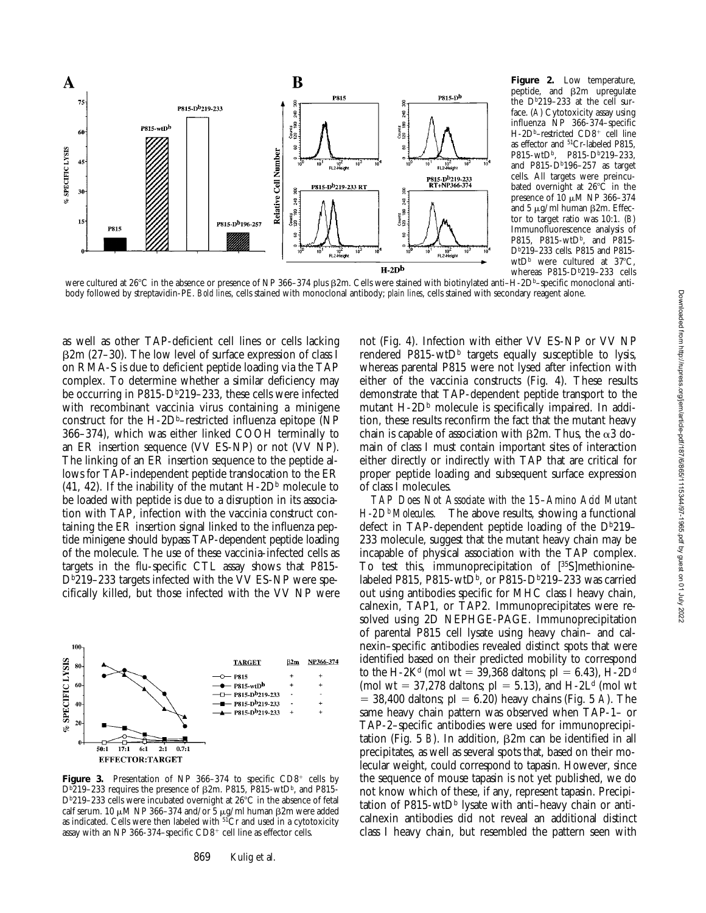

**Figure 2.** Low temperature, peptide, and  $\beta$ 2m upregulate the  $D<sup>b</sup>219-233$  at the cell surface. (*A*) Cytotoxicity assay using influenza NP 366-374–specific H-2D<sup>b</sup>–restricted CD8<sup>+</sup> cell line as effector and 51Cr-labeled P815, P815-wtD<sup>b</sup>, P815-D<sup>b</sup>219-233, and P815- $D<sup>b</sup>196-257$  as target cells. All targets were preincubated overnight at  $26^{\circ}$ C in the presence of  $10 \mu M$  NP 366-374 and 5  $\mu$ g/ml human  $\beta$ 2m. Effector to target ratio was 10:1. (*B*) Immunofluorescence analysis of P815, P815-wtD<sup>b</sup>, and P815-Db219–233 cells. P815 and P815 wtD<sup>b</sup> were cultured at  $37^{\circ}$ C, whereas P815-D<sup>b</sup>219-233 cells

were cultured at 26°C in the absence or presence of NP 366–374 plus  $\beta$ 2m. Cells were stained with biotinylated anti–H-2Db–specific monoclonal antibody followed by streptavidin-PE. *Bold lines*, cells stained with monoclonal antibody; *plain lines*, cells stained with secondary reagent alone.

as well as other TAP-deficient cell lines or cells lacking  $\beta$ 2m (27–30). The low level of surface expression of class I on RMA-S is due to deficient peptide loading via the TAP complex. To determine whether a similar deficiency may be occurring in P815-D $b219-233$ , these cells were infected with recombinant vaccinia virus containing a minigene construct for the H-2D<sup>b</sup>-restricted influenza epitope (NP 366–374), which was either linked COOH terminally to an ER insertion sequence (VV ES-NP) or not (VV NP). The linking of an ER insertion sequence to the peptide allows for TAP-independent peptide translocation to the ER (41, 42). If the inability of the mutant  $H$ -2D<sup>b</sup> molecule to be loaded with peptide is due to a disruption in its association with TAP, infection with the vaccinia construct containing the ER insertion signal linked to the influenza peptide minigene should bypass TAP-dependent peptide loading of the molecule. The use of these vaccinia-infected cells as targets in the flu-specific CTL assay shows that P815-  $D<sup>b</sup>219-233$  targets infected with the VV ES-NP were specifically killed, but those infected with the VV NP were



**Figure 3.** Presentation of NP 366-374 to specific  $CD8<sup>+</sup>$  cells by  $D<sup>b</sup>219-233$  requires the presence of  $\beta$ 2m. P815, P815-wtD<sup>b</sup>, and P815-D<sup>b</sup>219-233 cells were incubated overnight at 26°C in the absence of fetal calf serum. 10  $\mu$ M NP 366-374 and/or 5  $\mu$ g/ml human  $\beta$ 2m were added as indicated. Cells were then labeled with  $5\overline{1}$ Cr and used in a cytotoxicity assay with an NP 366-374–specific  $CD8^+$  cell line as effector cells.

not (Fig. 4). Infection with either VV ES-NP or VV NP rendered P815-wtD<sup>b</sup> targets equally susceptible to lysis, whereas parental P815 were not lysed after infection with either of the vaccinia constructs (Fig. 4). These results demonstrate that TAP-dependent peptide transport to the mutant  $H - 2D<sup>b</sup>$  molecule is specifically impaired. In addition, these results reconfirm the fact that the mutant heavy chain is capable of association with  $\beta$ 2m. Thus, the  $\alpha$ 3 domain of class I must contain important sites of interaction either directly or indirectly with TAP that are critical for proper peptide loading and subsequent surface expression of class I molecules.

*TAP Does Not Associate with the 15–Amino Acid Mutant H-2Db Molecules.* The above results, showing a functional defect in TAP-dependent peptide loading of the  $D^{b}219-$ 233 molecule, suggest that the mutant heavy chain may be incapable of physical association with the TAP complex. To test this, immunoprecipitation of [35S]methioninelabeled P815, P815-wtD<sup>b</sup>, or P815-D<sup>b</sup>219–233 was carried out using antibodies specific for MHC class I heavy chain, calnexin, TAP1, or TAP2. Immunoprecipitates were resolved using 2D NEPHGE-PAGE. Immunoprecipitation of parental P815 cell lysate using heavy chain– and calnexin–specific antibodies revealed distinct spots that were identified based on their predicted mobility to correspond to the H-2K<sup>d</sup> (mol wt = 39,368 daltons; pI = 6.43), H-2D<sup>d</sup> (mol wt = 37,278 daltons;  $pI = 5.13$ ), and H-2L<sup>d</sup> (mol wt  $=$  38,400 daltons; pI  $=$  6.20) heavy chains (Fig. 5 *A*). The same heavy chain pattern was observed when TAP-1– or TAP-2–specific antibodies were used for immunoprecipitation (Fig. 5 *B*). In addition,  $\beta$ 2m can be identified in all precipitates, as well as several spots that, based on their molecular weight, could correspond to tapasin. However, since the sequence of mouse tapasin is not yet published, we do not know which of these, if any, represent tapasin. Precipitation of P815-wtD<sup>b</sup> lysate with anti-heavy chain or anticalnexin antibodies did not reveal an additional distinct class I heavy chain, but resembled the pattern seen with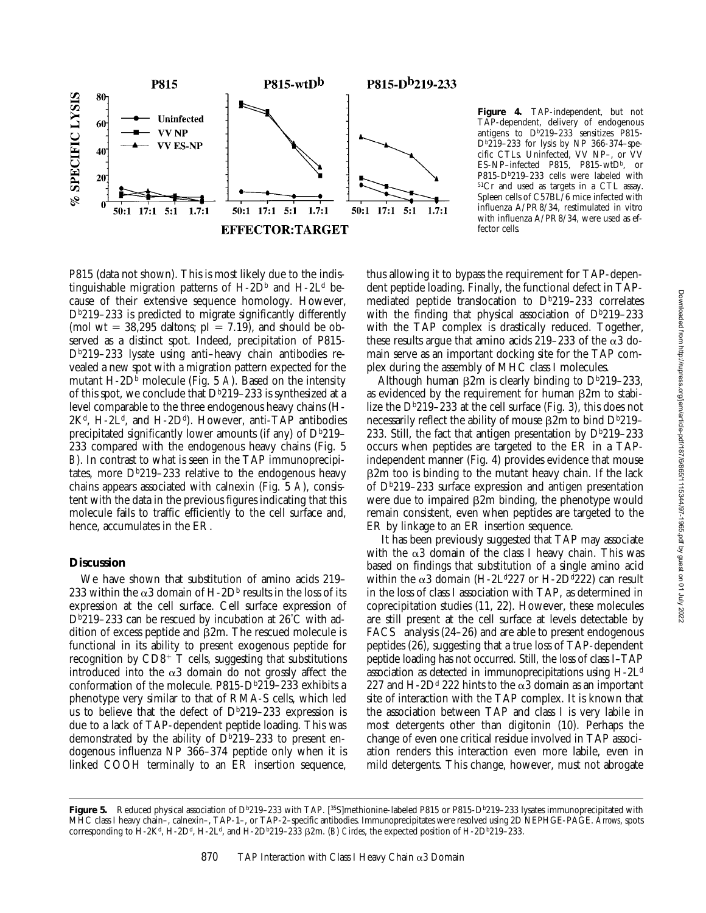

**Figure 4.** TAP-independent, but not TAP-dependent, delivery of endogenous antigens to D<sup>b</sup>219-233 sensitizes P815- $D^{b}219-233$  for lysis by NP 366-374-specific CTLs. Uninfected, VV NP–, or VV ES-NP–infected P815, P815-wtDb, or P815-D<sup>b</sup>219-233 cells were labeled with 51Cr and used as targets in a CTL assay. Spleen cells of C57BL/6 mice infected with influenza A/PR8/34, restimulated in vitro with influenza A/PR8/34, were used as effector cells.

P815 (data not shown). This is most likely due to the indistinguishable migration patterns of  $H$ -2D<sup>b</sup> and  $H$ -2L<sup>d</sup> because of their extensive sequence homology. However,  $D<sup>b</sup>219-233$  is predicted to migrate significantly differently (mol wt = 38,295 daltons;  $pI = 7.19$ ), and should be observed as a distinct spot. Indeed, precipitation of P815- Db219–233 lysate using anti–heavy chain antibodies revealed a new spot with a migration pattern expected for the mutant H-2D<sup>b</sup> molecule (Fig. 5 A). Based on the intensity of this spot, we conclude that  $D<sup>b</sup>219-233$  is synthesized at a level comparable to the three endogenous heavy chains (H- $2K<sup>d</sup>$ , H-2L<sup>d</sup>, and H-2D<sup>d</sup>). However, anti-TAP antibodies precipitated significantly lower amounts (if any) of  $D<sup>b</sup>219-$ 233 compared with the endogenous heavy chains (Fig. 5 *B*). In contrast to what is seen in the TAP immunoprecipitates, more  $D^{b}219-233$  relative to the endogenous heavy chains appears associated with calnexin (Fig. 5 *A*), consistent with the data in the previous figures indicating that this molecule fails to traffic efficiently to the cell surface and, hence, accumulates in the ER.

#### **Discussion**

We have shown that substitution of amino acids 219– 233 within the  $\alpha$ 3 domain of H-2D<sup>b</sup> results in the loss of its expression at the cell surface. Cell surface expression of Db219–233 can be rescued by incubation at 26°C with addition of excess peptide and  $\beta$ 2m. The rescued molecule is functional in its ability to present exogenous peptide for recognition by  $CD8^+$  T cells, suggesting that substitutions introduced into the  $\alpha$ 3 domain do not grossly affect the conformation of the molecule. P815-D $b219-233$  exhibits a phenotype very similar to that of RMA-S cells, which led us to believe that the defect of  $D^{b}219-233$  expression is due to a lack of TAP-dependent peptide loading. This was demonstrated by the ability of  $D^{b}219-233$  to present endogenous influenza NP 366–374 peptide only when it is linked COOH terminally to an ER insertion sequence,

thus allowing it to bypass the requirement for TAP-dependent peptide loading. Finally, the functional defect in TAPmediated peptide translocation to  $D^{b}219-233$  correlates with the finding that physical association of  $D^{b}219-233$ with the TAP complex is drastically reduced. Together, these results argue that amino acids 219–233 of the  $\alpha$ 3 domain serve as an important docking site for the TAP complex during the assembly of MHC class I molecules.

Although human  $\beta$ 2m is clearly binding to Db<sup>219–233</sup>, as evidenced by the requirement for human  $\beta$ 2m to stabilize the  $D^{b}219-233$  at the cell surface (Fig. 3), this does not necessarily reflect the ability of mouse  $\beta$ 2m to bind  $D^b$ 219– 233. Still, the fact that antigen presentation by  $D^{b}219-233$ occurs when peptides are targeted to the ER in a TAPindependent manner (Fig. 4) provides evidence that mouse  $\beta$ 2m too is binding to the mutant heavy chain. If the lack of  $D<sup>b</sup>219-233$  surface expression and antigen presentation were due to impaired  $\beta$ 2m binding, the phenotype would remain consistent, even when peptides are targeted to the ER by linkage to an ER insertion sequence.

 It has been previously suggested that TAP may associate with the  $\alpha$ 3 domain of the class I heavy chain. This was based on findings that substitution of a single amino acid within the  $\alpha$ 3 domain (H-2L<sup>d</sup>227 or H-2D<sup>d</sup>222) can result in the loss of class I association with TAP, as determined in coprecipitation studies (11, 22). However, these molecules are still present at the cell surface at levels detectable by  $FACS^{\circledast}$  analysis (24–26) and are able to present endogenous peptides (26), suggesting that a true loss of TAP-dependent peptide loading has not occurred. Still, the loss of class I–TAP association as detected in immunoprecipitations using H-2Ld 227 and H-2D<sup>d</sup> 222 hints to the  $\alpha$ 3 domain as an important site of interaction with the TAP complex. It is known that the association between TAP and class I is very labile in most detergents other than digitonin (10). Perhaps the change of even one critical residue involved in TAP association renders this interaction even more labile, even in mild detergents. This change, however, must not abrogate

Figure 5. Reduced physical association of D<sup>b</sup>219-233 with TAP. [<sup>35</sup>S]methionine-labeled P815 or P815-D<sup>b</sup>219-233 lysates immunoprecipitated with MHC class I heavy chain–, calnexin–, TAP-1–, or TAP-2–specific antibodies. Immunoprecipitates were resolved using 2D NEPHGE-PAGE. *Arrows*, spots corresponding to  $H-2K^d$ ,  $H-2D^d$ ,  $H-2L^d$ , and  $H-2D^b219-233$   $\beta 2m$ . (*B) Circles*, the expected position of  $H-2D^b219-233$ .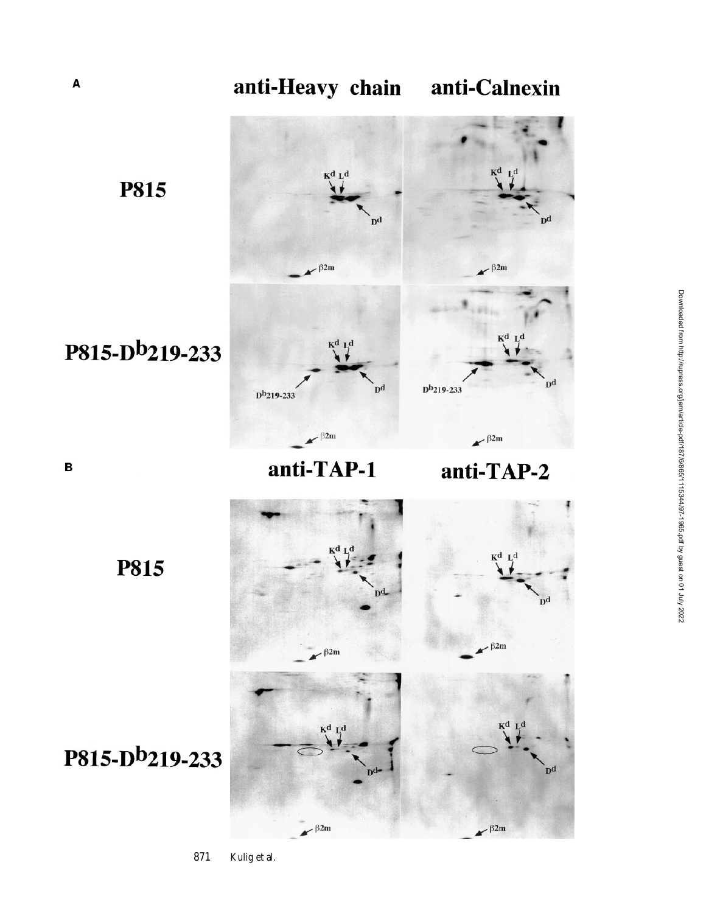

anti-TAP-1

anti-TAP-2

**P815** 

P815-Db219-233

B



**P815** 

# P815-Db219-233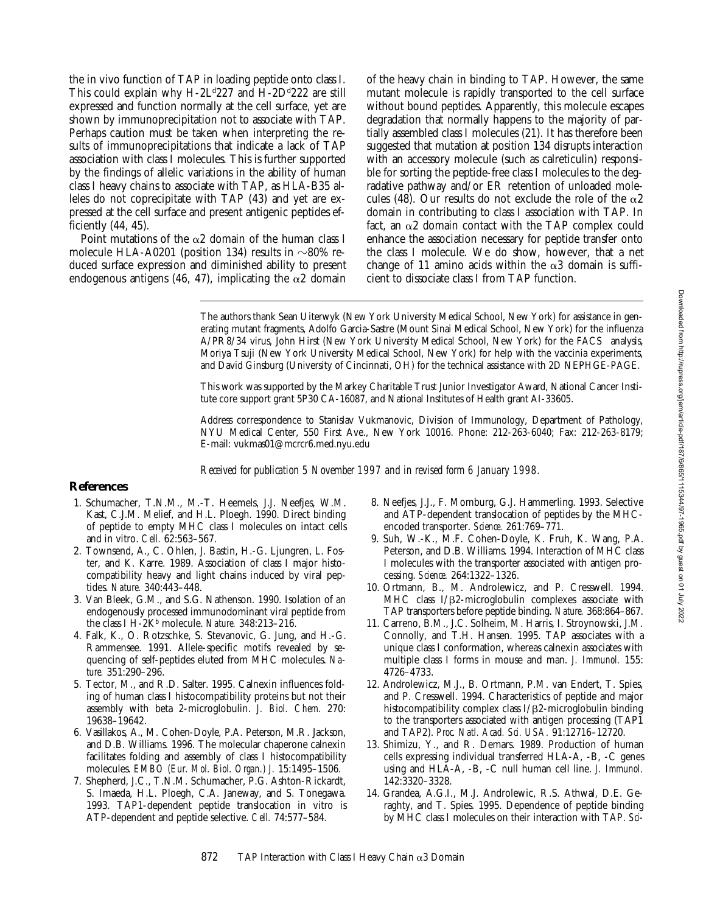the in vivo function of TAP in loading peptide onto class I. This could explain why  $H-2L^{d}227$  and  $H-2D^{d}222$  are still expressed and function normally at the cell surface, yet are shown by immunoprecipitation not to associate with TAP. Perhaps caution must be taken when interpreting the results of immunoprecipitations that indicate a lack of TAP association with class I molecules. This is further supported by the findings of allelic variations in the ability of human class I heavy chains to associate with TAP, as HLA-B35 alleles do not coprecipitate with TAP (43) and yet are expressed at the cell surface and present antigenic peptides efficiently (44, 45).

Point mutations of the  $\alpha$ 2 domain of the human class I molecule HLA-A0201 (position 134) results in  $\sim$ 80% reduced surface expression and diminished ability to present endogenous antigens (46, 47), implicating the  $\alpha$ 2 domain

of the heavy chain in binding to TAP. However, the same mutant molecule is rapidly transported to the cell surface without bound peptides. Apparently, this molecule escapes degradation that normally happens to the majority of partially assembled class I molecules (21). It has therefore been suggested that mutation at position 134 disrupts interaction with an accessory molecule (such as calreticulin) responsible for sorting the peptide-free class I molecules to the degradative pathway and/or ER retention of unloaded molecules (48). Our results do not exclude the role of the  $\alpha$ 2 domain in contributing to class I association with TAP. In fact, an  $\alpha$ 2 domain contact with the TAP complex could enhance the association necessary for peptide transfer onto the class I molecule. We do show, however, that a net change of 11 amino acids within the  $\alpha$ 3 domain is sufficient to dissociate class I from TAP function.

The authors thank Sean Uiterwyk (New York University Medical School, New York) for assistance in generating mutant fragments, Adolfo Garcia-Sastre (Mount Sinai Medical School, New York) for the influenza A/PR8/34 virus, John Hirst (New York University Medical School, New York) for the FACS® analysis, Moriya Tsuji (New York University Medical School, New York) for help with the vaccinia experiments, and David Ginsburg (University of Cincinnati, OH) for the technical assistance with 2D NEPHGE-PAGE.

This work was supported by the Markey Charitable Trust Junior Investigator Award, National Cancer Institute core support grant 5P30 CA-16087, and National Institutes of Health grant AI-33605.

Address correspondence to Stanislav Vukmanovic, Division of Immunology, Department of Pathology, NYU Medical Center, 550 First Ave., New York 10016. Phone: 212-263-6040; Fax: 212-263-8179; E-mail: vukmas01@mcrcr6.med.nyu.edu

*Received for publication 5 November 1997 and in revised form 6 January 1998.*

### **References**

- 1. Schumacher, T.N.M., M.-T. Heemels, J.J. Neefjes, W.M. Kast, C.J.M. Melief, and H.L. Ploegh. 1990. Direct binding of peptide to empty MHC class I molecules on intact cells and in vitro. *Cell.* 62:563–567.
- 2. Townsend, A., C. Ohlen, J. Bastin, H.-G. Ljungren, L. Foster, and K. Karre. 1989. Association of class I major histocompatibility heavy and light chains induced by viral peptides. *Nature.* 340:443–448.
- 3. Van Bleek, G.M., and S.G. Nathenson. 1990. Isolation of an endogenously processed immunodominant viral peptide from the class I H-2Kb molecule. *Nature.* 348:213–216.
- 4. Falk, K., O. Rotzschke, S. Stevanovic, G. Jung, and H.-G. Rammensee. 1991. Allele-specific motifs revealed by sequencing of self-peptides eluted from MHC molecules. *Nature.* 351:290–296.
- 5. Tector, M., and R.D. Salter. 1995. Calnexin influences folding of human class I histocompatibility proteins but not their assembly with beta 2-microglobulin. *J. Biol. Chem.* 270: 19638–19642.
- 6. Vasillakos, A., M. Cohen-Doyle, P.A. Peterson, M.R. Jackson, and D.B. Williams. 1996. The molecular chaperone calnexin facilitates folding and assembly of class I histocompatibility molecules. *EMBO (Eur. Mol. Biol. Organ.) J.* 15:1495–1506.
- 7. Shepherd, J.C., T.N.M. Schumacher, P.G. Ashton-Rickardt, S. Imaeda, H.L. Ploegh, C.A. Janeway, and S. Tonegawa. 1993. TAP1-dependent peptide translocation in vitro is ATP-dependent and peptide selective. *Cell.* 74:577–584.
- 8. Neefjes, J.J., F. Momburg, G.J. Hammerling. 1993. Selective and ATP-dependent translocation of peptides by the MHCencoded transporter. *Science.* 261:769–771.
- 9. Suh, W.-K., M.F. Cohen-Doyle, K. Fruh, K. Wang, P.A. Peterson, and D.B. Williams. 1994. Interaction of MHC class I molecules with the transporter associated with antigen processing. *Science.* 264:1322–1326.
- 10. Ortmann, B., M. Androlewicz, and P. Cresswell. 1994. MHC class  $I/B2$ -microglobulin complexes associate with TAP transporters before peptide binding. *Nature.* 368:864–867.
- 11. Carreno, B.M., J.C. Solheim, M. Harris, I. Stroynowski, J.M. Connolly, and T.H. Hansen. 1995. TAP associates with a unique class I conformation, whereas calnexin associates with multiple class I forms in mouse and man. *J. Immunol.* 155: 4726–4733.
- 12. Androlewicz, M.J., B. Ortmann, P.M. van Endert, T. Spies, and P. Cresswell. 1994. Characteristics of peptide and major histocompatibility complex class  $I/\beta$ 2-microglobulin binding to the transporters associated with antigen processing (TAP1 and TAP2). *Proc. Natl. Acad. Sci. USA.* 91:12716–12720.
- 13. Shimizu, Y., and R. Demars. 1989. Production of human cells expressing individual transferred HLA-A, -B, -C genes using and HLA-A, -B, -C null human cell line. *J. Immunol.* 142:3320–3328.
- 14. Grandea, A.G.I., M.J. Androlewic, R.S. Athwal, D.E. Geraghty, and T. Spies. 1995. Dependence of peptide binding by MHC class I molecules on their interaction with TAP. *Sci-*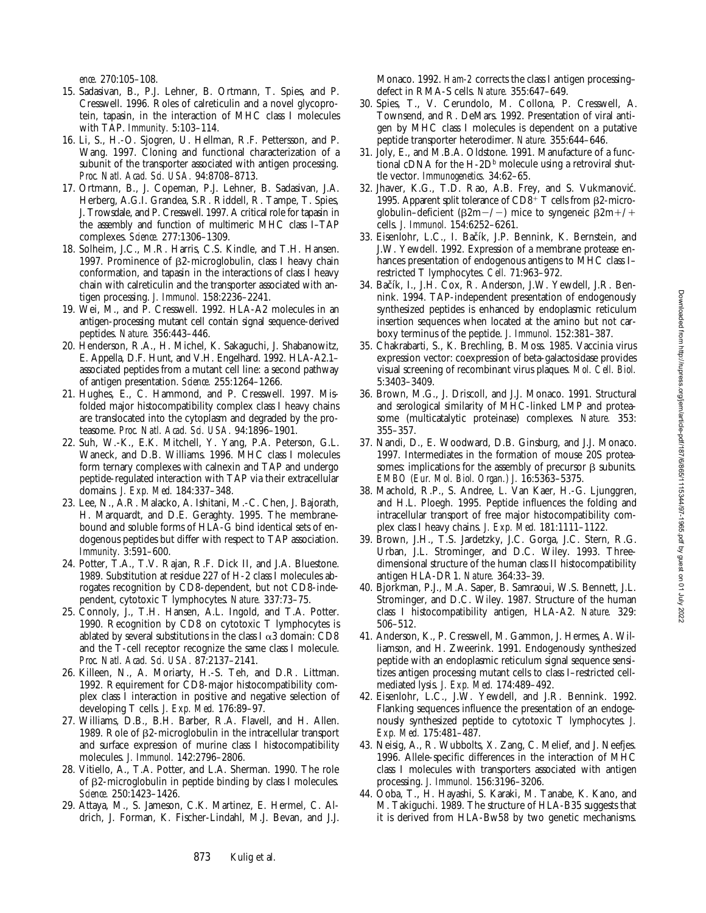*ence.* 270:105–108.

- 15. Sadasivan, B., P.J. Lehner, B. Ortmann, T. Spies, and P. Cresswell. 1996. Roles of calreticulin and a novel glycoprotein, tapasin, in the interaction of MHC class I molecules with TAP. *Immunity.* 5:103–114.
- 16. Li, S., H.-O. Sjogren, U. Hellman, R.F. Pettersson, and P. Wang. 1997. Cloning and functional characterization of a subunit of the transporter associated with antigen processing. *Proc. Natl. Acad. Sci. USA.* 94:8708–8713.
- 17. Ortmann, B., J. Copeman, P.J. Lehner, B. Sadasivan, J.A. Herberg, A.G.I. Grandea, S.R. Riddell, R. Tampe, T. Spies, J. Trowsdale, and P. Cresswell. 1997. A critical role for tapasin in the assembly and function of multimeric MHC class I–TAP complexes. *Science.* 277:1306–1309.
- 18. Solheim, J.C., M.R. Harris, C.S. Kindle, and T.H. Hansen. 1997. Prominence of  $\beta$ 2-microglobulin, class I heavy chain conformation, and tapasin in the interactions of class I heavy chain with calreticulin and the transporter associated with antigen processing. *J. Immunol.* 158:2236–2241.
- 19. Wei, M., and P. Cresswell. 1992. HLA-A2 molecules in an antigen-processing mutant cell contain signal sequence-derived peptides. *Nature.* 356:443–446.
- 20. Henderson, R.A., H. Michel, K. Sakaguchi, J. Shabanowitz, E. Appella, D.F. Hunt, and V.H. Engelhard. 1992. HLA-A2.1– associated peptides from a mutant cell line: a second pathway of antigen presentation. *Science.* 255:1264–1266.
- 21. Hughes, E., C. Hammond, and P. Cresswell. 1997. Misfolded major histocompatibility complex class I heavy chains are translocated into the cytoplasm and degraded by the proteasome. *Proc. Natl. Acad. Sci. USA.* 94:1896–1901.
- 22. Suh, W.-K., E.K. Mitchell, Y. Yang, P.A. Peterson, G.L. Waneck, and D.B. Williams. 1996. MHC class I molecules form ternary complexes with calnexin and TAP and undergo peptide-regulated interaction with TAP via their extracellular domains. *J. Exp. Med.* 184:337–348.
- 23. Lee, N., A.R. Malacko, A. Ishitani, M.-C. Chen, J. Bajorath, H. Marquardt, and D.E. Geraghty. 1995. The membranebound and soluble forms of HLA-G bind identical sets of endogenous peptides but differ with respect to TAP association. *Immunity.* 3:591–600.
- 24. Potter, T.A., T.V. Rajan, R.F. Dick II, and J.A. Bluestone. 1989. Substitution at residue 227 of H-2 class I molecules abrogates recognition by CD8-dependent, but not CD8-independent, cytotoxic T lymphocytes. *Nature.* 337:73–75.
- 25. Connoly, J., T.H. Hansen, A.L. Ingold, and T.A. Potter. 1990. Recognition by CD8 on cytotoxic T lymphocytes is ablated by several substitutions in the class I  $\alpha$ 3 domain: CD8 and the T-cell receptor recognize the same class I molecule. *Proc. Natl. Acad. Sci. USA.* 87:2137–2141.
- 26. Killeen, N., A. Moriarty, H.-S. Teh, and D.R. Littman. 1992. Requirement for CD8-major histocompatibility complex class I interaction in positive and negative selection of developing T cells. *J. Exp. Med.* 176:89–97.
- 27. Williams, D.B., B.H. Barber, R.A. Flavell, and H. Allen. 1989. Role of b2-microglobulin in the intracellular transport and surface expression of murine class I histocompatibility molecules. *J. Immunol.* 142:2796–2806.
- 28. Vitiello, A., T.A. Potter, and L.A. Sherman. 1990. The role of b2-microglobulin in peptide binding by class I molecules. *Science.* 250:1423–1426.
- 29. Attaya, M., S. Jameson, C.K. Martinez, E. Hermel, C. Aldrich, J. Forman, K. Fischer-Lindahl, M.J. Bevan, and J.J.

Monaco. 1992. *Ham-2* corrects the class I antigen processing– defect in RMA-S cells. *Nature.* 355:647–649.

- 30. Spies, T., V. Cerundolo, M. Collona, P. Cresswell, A. Townsend, and R. DeMars. 1992. Presentation of viral antigen by MHC class I molecules is dependent on a putative peptide transporter heterodimer. *Nature.* 355:644–646.
- 31. Joly, E., and M.B.A. Oldstone. 1991. Manufacture of a functional cDNA for the H-2D<sup>b</sup> molecule using a retroviral shuttle vector. *Immunogenetics.* 34:62–65.
- 32. Jhaver, K.G., T.D. Rao, A.B. Frey, and S. Vukmanović. 1995. Apparent split tolerance of  $CD8^+$  T cells from  $\beta$ 2-microglobulin–deficient ( $\beta 2m-/-$ ) mice to syngeneic  $\beta 2m+/+$ cells. *J. Immunol.* 154:6252–6261.
- 33. Eisenlohr, L.C., I. Bačík, J.P. Bennink, K. Bernstein, and J.W. Yewdell. 1992. Expression of a membrane protease enhances presentation of endogenous antigens to MHC class I– restricted T lymphocytes. *Cell.* 71:963–972.
- 34. Bačík, I., J.H. Cox, R. Anderson, J.W. Yewdell, J.R. Bennink. 1994. TAP-independent presentation of endogenously synthesized peptides is enhanced by endoplasmic reticulum insertion sequences when located at the amino but not carboxy terminus of the peptide. *J. Immunol.* 152:381–387.
- 35. Chakrabarti, S., K. Brechling, B. Moss. 1985. Vaccinia virus expression vector: coexpression of beta-galactosidase provides visual screening of recombinant virus plaques. *Mol. Cell. Biol.* 5:3403–3409.
- 36. Brown, M.G., J. Driscoll, and J.J. Monaco. 1991. Structural and serological similarity of MHC-linked LMP and proteasome (multicatalytic proteinase) complexes. *Nature.* 353: 355–357.
- 37. Nandi, D., E. Woodward, D.B. Ginsburg, and J.J. Monaco. 1997. Intermediates in the formation of mouse 20S proteasomes: implications for the assembly of precursor  $\beta$  subunits. *EMBO (Eur. Mol. Biol. Organ.) J.* 16:5363–5375.
- 38. Machold, R.P., S. Andree, L. Van Kaer, H.-G. Ljunggren, and H.L. Ploegh. 1995. Peptide influences the folding and intracellular transport of free major histocompatibility complex class I heavy chains. *J. Exp. Med.* 181:1111–1122.
- 39. Brown, J.H., T.S. Jardetzky, J.C. Gorga, J.C. Stern, R.G. Urban, J.L. Strominger, and D.C. Wiley. 1993. Threedimensional structure of the human class II histocompatibility antigen HLA-DR1. *Nature.* 364:33–39.
- 40. Bjorkman, P.J., M.A. Saper, B. Samraoui, W.S. Bennett, J.L. Strominger, and D.C. Wiley. 1987. Structure of the human class I histocompatibility antigen, HLA-A2. *Nature.* 329: 506–512.
- 41. Anderson, K., P. Cresswell, M. Gammon, J. Hermes, A. Williamson, and H. Zweerink. 1991. Endogenously synthesized peptide with an endoplasmic reticulum signal sequence sensitizes antigen processing mutant cells to class I–restricted cellmediated lysis. *J. Exp. Med.* 174:489–492.
- 42. Eisenlohr, L.C., J.W. Yewdell, and J.R. Bennink. 1992. Flanking sequences influence the presentation of an endogenously synthesized peptide to cytotoxic T lymphocytes. *J. Exp. Med.* 175:481–487.
- 43. Neisig, A., R. Wubbolts, X. Zang, C. Melief, and J. Neefjes. 1996. Allele-specific differences in the interaction of MHC class I molecules with transporters associated with antigen processing. *J. Immunol.* 156:3196–3206.
- 44. Ooba, T., H. Hayashi, S. Karaki, M. Tanabe, K. Kano, and M. Takiguchi. 1989. The structure of HLA-B35 suggests that it is derived from HLA-Bw58 by two genetic mechanisms.